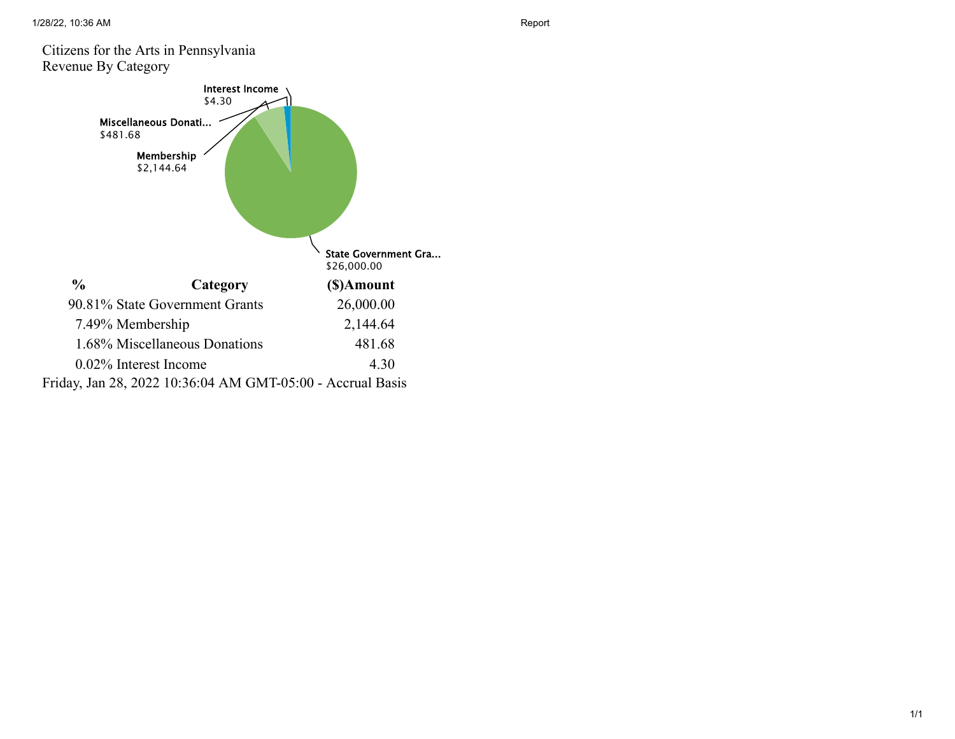#### Citizens for the Arts in Pennsylvania Revenue By Category

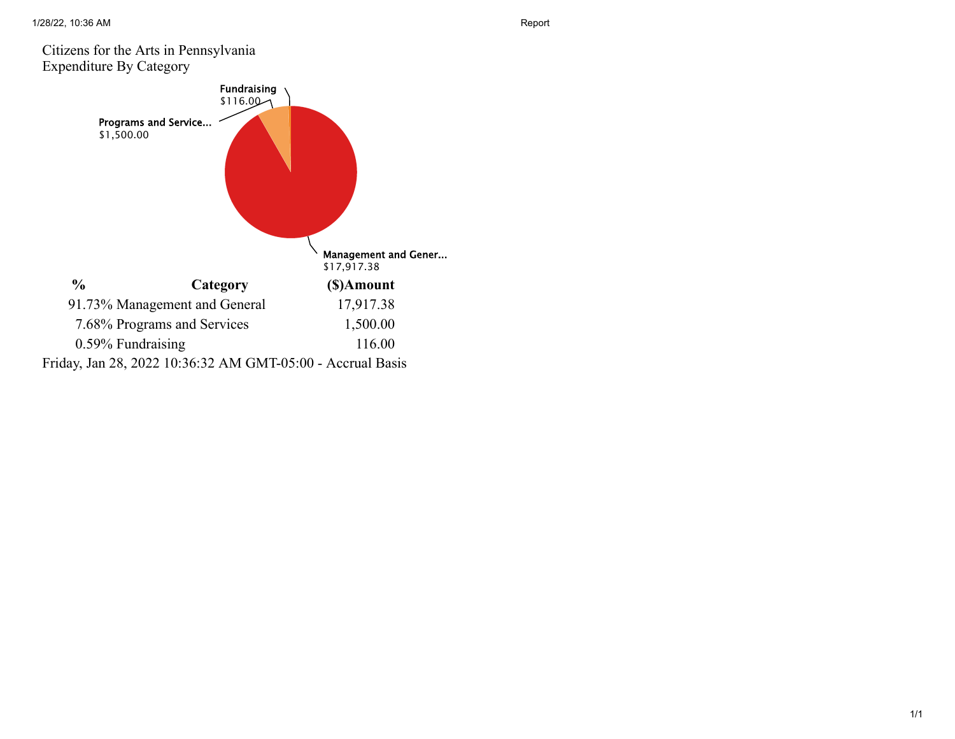### Citizens for the Arts in Pennsylvania Expenditure By Category

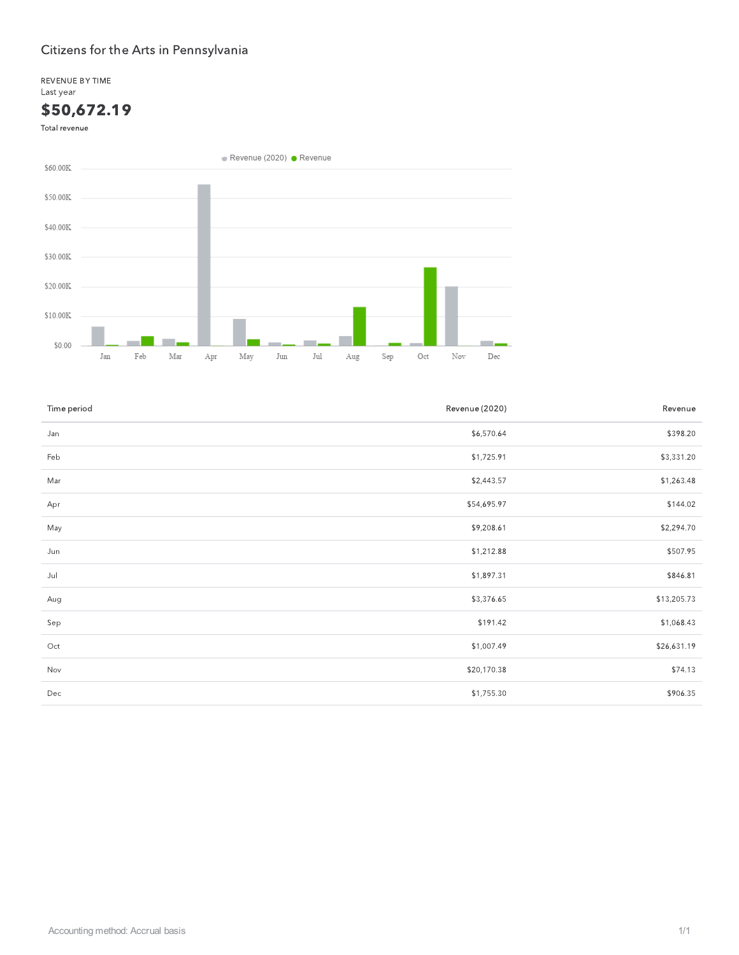REVENUE BY TIME Last year

## \$50,672.19

Total revenue



| Time period | Revenue (2020) | Revenue     |
|-------------|----------------|-------------|
| Jan         | \$6,570.64     | \$398.20    |
| Feb         | \$1,725.91     | \$3,331.20  |
| Mar         | \$2,443.57     | \$1,263.48  |
| Apr         | \$54,695.97    | \$144.02    |
| May         | \$9,208.61     | \$2,294.70  |
| Jun         | \$1,212.88     | \$507.95    |
| Jul         | \$1,897.31     | \$846.81    |
| Aug         | \$3,376.65     | \$13,205.73 |
| Sep         | \$191.42       | \$1,068.43  |
| Oct         | \$1,007.49     | \$26,631.19 |
| Nov         | \$20,170.38    | \$74.13     |
| Dec         | \$1,755.30     | \$906.35    |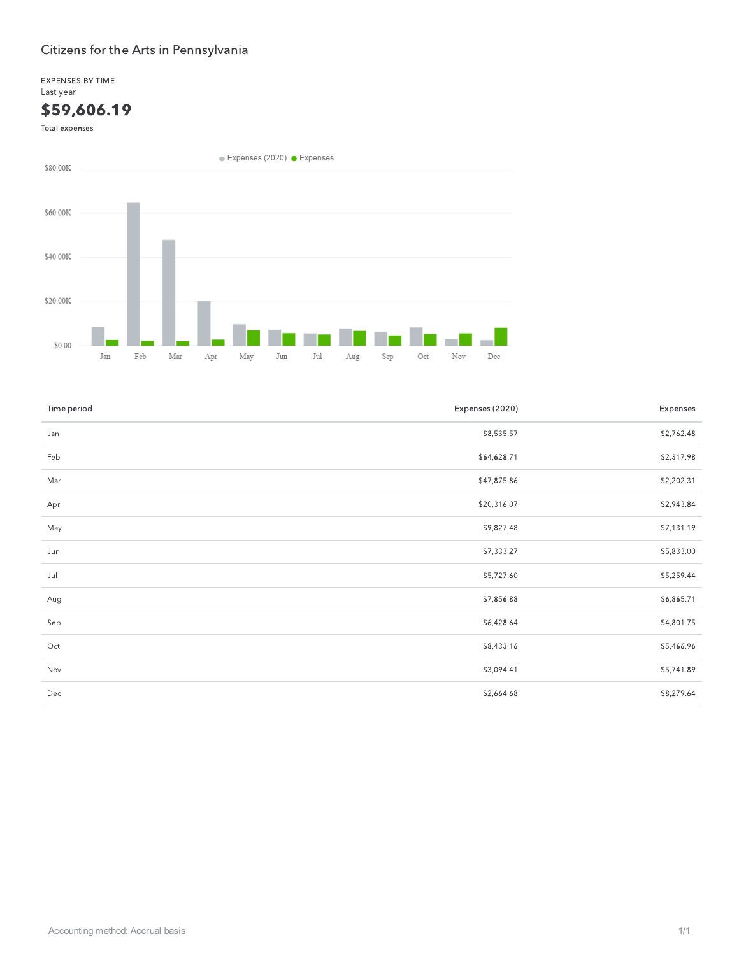EXPENSES BY TIME Last year

## \$59,606.19

Total expenses



| Time period | Expenses (2020) | Expenses   |
|-------------|-----------------|------------|
| Jan         | \$8,535.57      | \$2,762.48 |
| Feb         | \$64,628.71     | \$2,317.98 |
| Mar         | \$47,875.86     | \$2,202.31 |
| Apr         | \$20,316.07     | \$2,943.84 |
| May         | \$9,827.48      | \$7,131.19 |
| Jun         | \$7,333.27      | \$5,833.00 |
| Jul         | \$5,727.60      | \$5,259.44 |
| Aug         | \$7,856.88      | \$6,865.71 |
| Sep         | \$6,428.64      | \$4,801.75 |
| Oct         | \$8,433.16      | \$5,466.96 |
| Nov         | \$3,094.41      | \$5,741.89 |
| Dec         | \$2,664.68      | \$8,279.64 |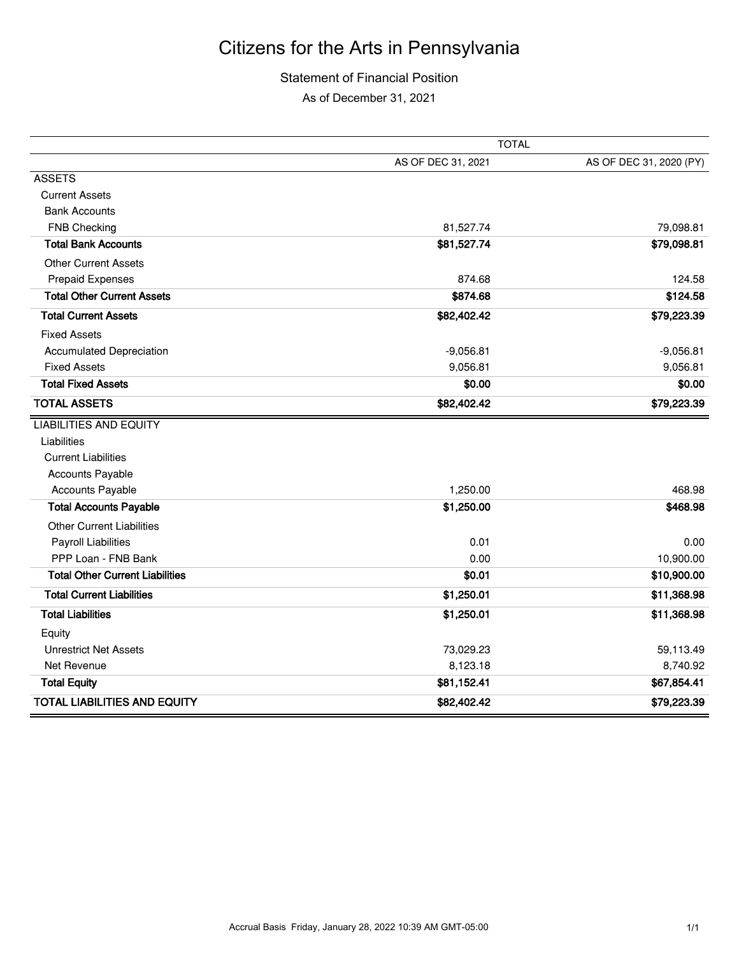### Statement of Financial Position

As of December 31, 2021

|                                        | <b>TOTAL</b>       |                         |  |
|----------------------------------------|--------------------|-------------------------|--|
|                                        | AS OF DEC 31, 2021 | AS OF DEC 31, 2020 (PY) |  |
| <b>ASSETS</b>                          |                    |                         |  |
| <b>Current Assets</b>                  |                    |                         |  |
| <b>Bank Accounts</b>                   |                    |                         |  |
| <b>FNB Checking</b>                    | 81,527.74          | 79,098.81               |  |
| <b>Total Bank Accounts</b>             | \$81,527.74        | \$79,098.81             |  |
| <b>Other Current Assets</b>            |                    |                         |  |
| <b>Prepaid Expenses</b>                | 874.68             | 124.58                  |  |
| <b>Total Other Current Assets</b>      | \$874.68           | \$124.58                |  |
| <b>Total Current Assets</b>            | \$82,402.42        | \$79,223.39             |  |
| <b>Fixed Assets</b>                    |                    |                         |  |
| <b>Accumulated Depreciation</b>        | $-9,056.81$        | $-9,056.81$             |  |
| <b>Fixed Assets</b>                    | 9,056.81           | 9,056.81                |  |
| <b>Total Fixed Assets</b>              | \$0.00             | \$0.00                  |  |
| <b>TOTAL ASSETS</b>                    | \$82,402.42        | \$79,223.39             |  |
| <b>LIABILITIES AND EQUITY</b>          |                    |                         |  |
| Liabilities                            |                    |                         |  |
| <b>Current Liabilities</b>             |                    |                         |  |
| <b>Accounts Payable</b>                |                    |                         |  |
| <b>Accounts Payable</b>                | 1,250.00           | 468.98                  |  |
| <b>Total Accounts Payable</b>          | \$1,250.00         | \$468.98                |  |
| <b>Other Current Liabilities</b>       |                    |                         |  |
| <b>Payroll Liabilities</b>             | 0.01               | 0.00                    |  |
| PPP Loan - FNB Bank                    | 0.00               | 10,900.00               |  |
| <b>Total Other Current Liabilities</b> | \$0.01             | \$10,900.00             |  |
| <b>Total Current Liabilities</b>       | \$1,250.01         | \$11,368.98             |  |
| <b>Total Liabilities</b>               | \$1,250.01         | \$11,368.98             |  |
| Equity                                 |                    |                         |  |
| <b>Unrestrict Net Assets</b>           | 73,029.23          | 59,113.49               |  |
| Net Revenue                            | 8,123.18           | 8,740.92                |  |
| <b>Total Equity</b>                    | \$81,152.41        | \$67,854.41             |  |
| <b>TOTAL LIABILITIES AND EQUITY</b>    | \$82,402.42        | \$79,223.39             |  |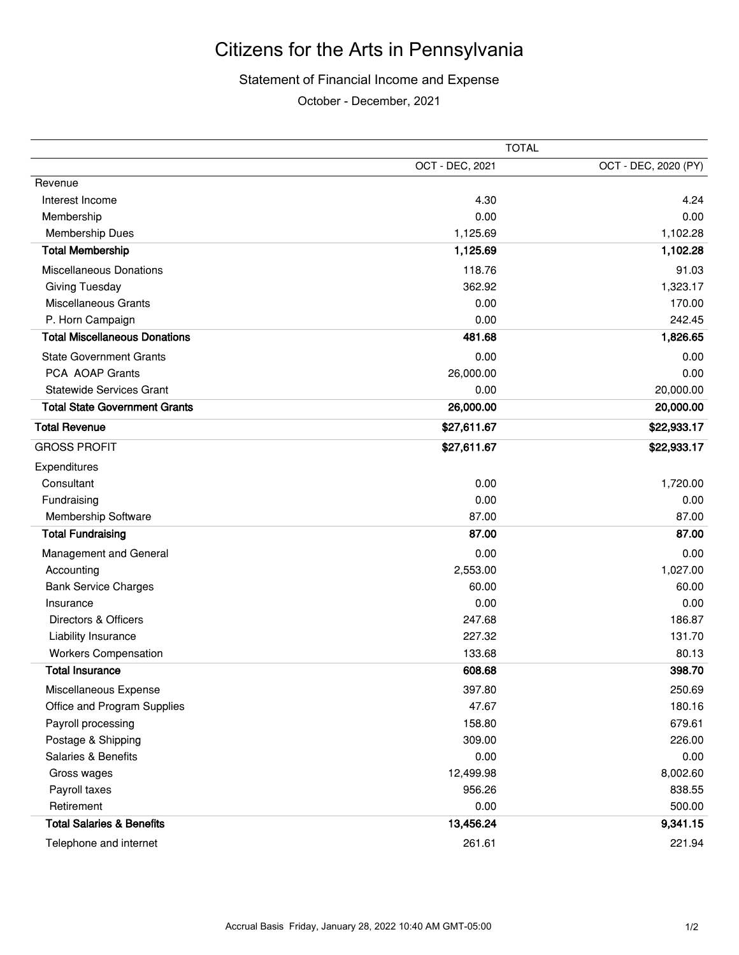#### Statement of Financial Income and Expense

October - December, 2021

|                                      | <b>TOTAL</b>    |                      |  |
|--------------------------------------|-----------------|----------------------|--|
|                                      | OCT - DEC, 2021 | OCT - DEC, 2020 (PY) |  |
| Revenue                              |                 |                      |  |
| Interest Income                      | 4.30            | 4.24                 |  |
| Membership                           | 0.00            | 0.00                 |  |
| <b>Membership Dues</b>               | 1,125.69        | 1,102.28             |  |
| <b>Total Membership</b>              | 1,125.69        | 1,102.28             |  |
| <b>Miscellaneous Donations</b>       | 118.76          | 91.03                |  |
| Giving Tuesday                       | 362.92          | 1,323.17             |  |
| <b>Miscellaneous Grants</b>          | 0.00            | 170.00               |  |
| P. Horn Campaign                     | 0.00            | 242.45               |  |
| <b>Total Miscellaneous Donations</b> | 481.68          | 1,826.65             |  |
| <b>State Government Grants</b>       | 0.00            | 0.00                 |  |
| PCA AOAP Grants                      | 26,000.00       | 0.00                 |  |
| <b>Statewide Services Grant</b>      | 0.00            | 20,000.00            |  |
| <b>Total State Government Grants</b> | 26,000.00       | 20,000.00            |  |
| <b>Total Revenue</b>                 | \$27,611.67     | \$22,933.17          |  |
| <b>GROSS PROFIT</b>                  | \$27,611.67     | \$22,933.17          |  |
| Expenditures                         |                 |                      |  |
| Consultant                           | 0.00            | 1,720.00             |  |
| Fundraising                          | 0.00            | 0.00                 |  |
| Membership Software                  | 87.00           | 87.00                |  |
| <b>Total Fundraising</b>             | 87.00           | 87.00                |  |
| Management and General               | 0.00            | 0.00                 |  |
| Accounting                           | 2,553.00        | 1,027.00             |  |
| <b>Bank Service Charges</b>          | 60.00           | 60.00                |  |
| Insurance                            | 0.00            | 0.00                 |  |
| Directors & Officers                 | 247.68          | 186.87               |  |
| Liability Insurance                  | 227.32          | 131.70               |  |
| <b>Workers Compensation</b>          | 133.68          | 80.13                |  |
| <b>Total Insurance</b>               | 608.68          | 398.70               |  |
| Miscellaneous Expense                | 397.80          | 250.69               |  |
| Office and Program Supplies          | 47.67           | 180.16               |  |
| Payroll processing                   | 158.80          | 679.61               |  |
| Postage & Shipping                   | 309.00          | 226.00               |  |
| Salaries & Benefits                  | 0.00            | 0.00                 |  |
| Gross wages                          | 12,499.98       | 8,002.60             |  |
| Payroll taxes                        | 956.26          | 838.55               |  |
| Retirement                           | 0.00            | 500.00               |  |
| <b>Total Salaries &amp; Benefits</b> | 13,456.24       | 9,341.15             |  |
| Telephone and internet               | 261.61          | 221.94               |  |